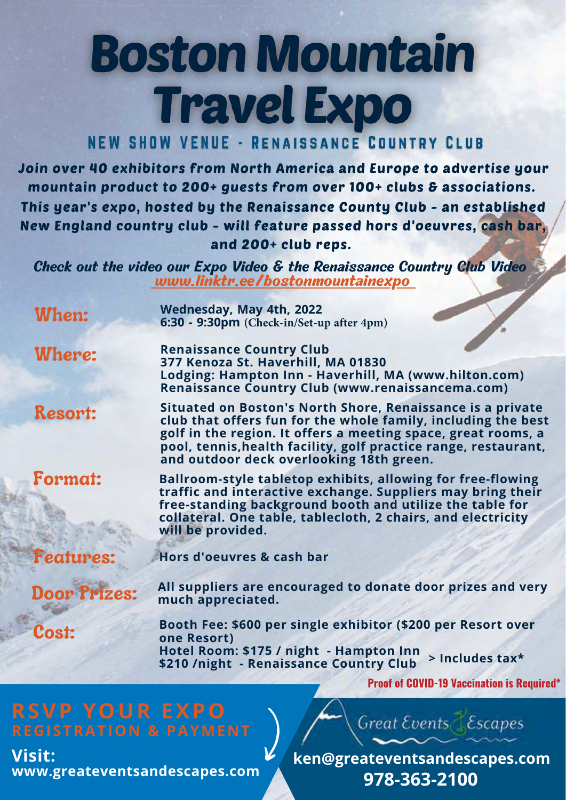## **Boston Mountain Travel Expo**

## **NEW SHOW VENUE - RENAISSANCE COUNTRY CLUB**

Join over 40 exhibitors from North America and Europe to advertise your mountain product to 200+ guests from over 100+ clubs & associations. This year's expo, hosted by the Renaissance County Club - an established New England country club - will feature passed hors d'oeuvres, cash bar, and 200+ club reps.

Check out the video our Expo Video & the Renaissance Country Club Video www.linktr.ee/bostonmountainexpo

| When:               | Wednesday, May 4th, 2022<br>6:30 - 9:30pm (Check-in/Set-up after 4pm)                                                                                                                                                                                                                                       |
|---------------------|-------------------------------------------------------------------------------------------------------------------------------------------------------------------------------------------------------------------------------------------------------------------------------------------------------------|
| <b>Where:</b>       | <b>Renaissance Country Club</b><br>377 Kenoza St. Haverhill, MA 01830<br>Lodging: Hampton Inn - Haverhill, MA (www.hilton.com)<br>Renaissance Country Club (www.renaissancema.com)                                                                                                                          |
| <b>Resort:</b>      | Situated on Boston's North Shore, Renaissance is a private<br>club that offers fun for the whole family, including the best<br>golf in the region. It offers a meeting space, great rooms, a<br>pool, tennis, health facility, golf practice range, restaurant,<br>and outdoor deck overlooking 18th green. |
| <b>Format:</b>      | <b>Ballroom-style tabletop exhibits, allowing for free-flowing</b><br>traffic and interactive exchange. Suppliers may bring their<br>free-standing background booth and utilize the table for<br>collateral. One table, tablecloth, 2 chairs, and electricity<br>will be provided.                          |
| <b>Features:</b>    | Hors d'oeuvres & cash bar                                                                                                                                                                                                                                                                                   |
| <b>Door Prizes:</b> | All suppliers are encouraged to donate door prizes and very<br>much appreciated.                                                                                                                                                                                                                            |
| Cost:               | Booth Fee: \$600 per single exhibitor (\$200 per Resort over<br>one Resort)<br>Hotel Room: \$175 / night - Hampton Inn<br>> Includes tax*<br>\$210 /night - Renaissance Country Club                                                                                                                        |
|                     | <b>Proof of COVID-19 Vaccination is Required*</b>                                                                                                                                                                                                                                                           |

## **RSVP YOUR EXPO**

**Visit: www.greateventsandescapes.com**

**ken@greateventsandescapes.com 978-363-2100**

Great Events Escapes